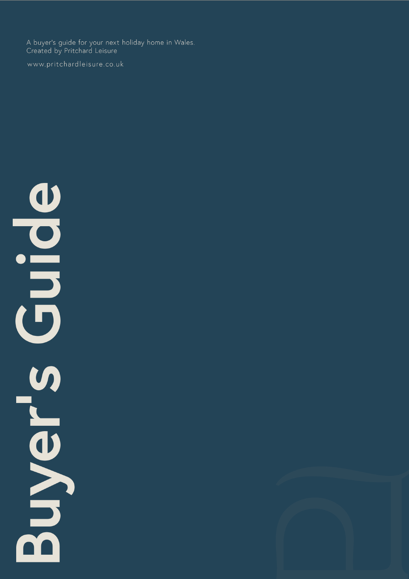A buyer's guide for your next holiday home in Wales.<br>Created by Pritchard Leisure

www.pritchardleisure.co.uk

S DON